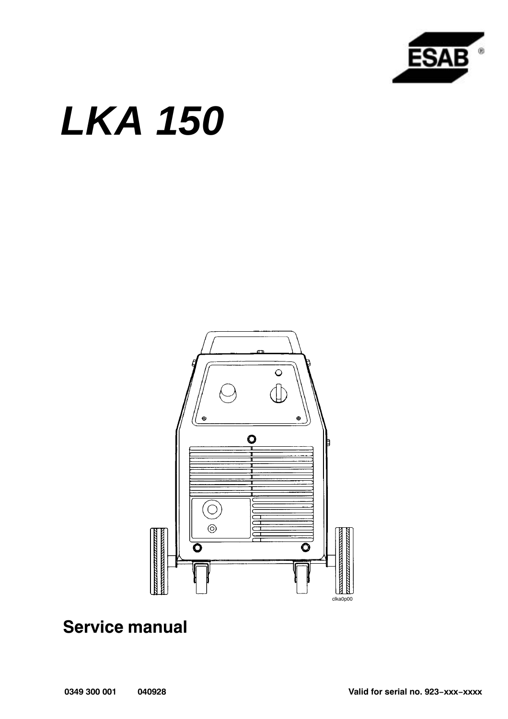

# *LKA 150*



# **Service manual**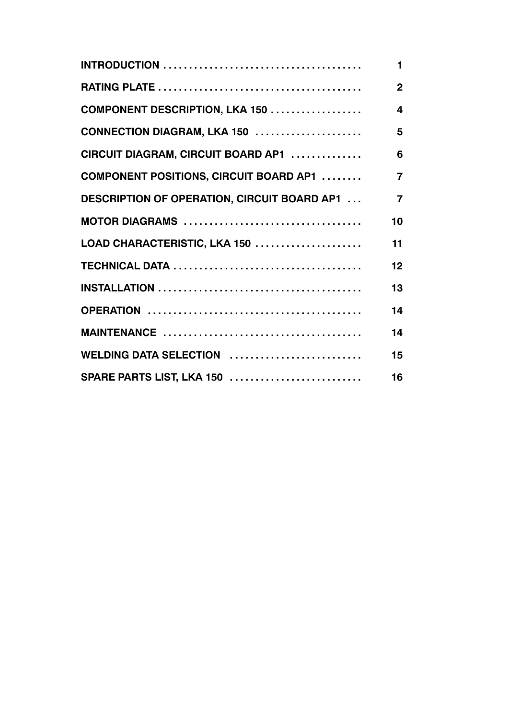|                                                     | 1              |
|-----------------------------------------------------|----------------|
|                                                     | $\overline{2}$ |
| COMPONENT DESCRIPTION, LKA 150                      | 4              |
| CONNECTION DIAGRAM, LKA 150                         | 5              |
| CIRCUIT DIAGRAM, CIRCUIT BOARD AP1                  | 6              |
| <b>COMPONENT POSITIONS, CIRCUIT BOARD AP1 </b>      | $\overline{7}$ |
| <b>DESCRIPTION OF OPERATION, CIRCUIT BOARD AP1 </b> | $\overline{7}$ |
|                                                     | 10             |
| LOAD CHARACTERISTIC, LKA 150                        | 11             |
|                                                     | 12             |
|                                                     | 13             |
|                                                     | 14             |
|                                                     | 14             |
| WELDING DATA SELECTION                              | 15             |
| SPARE PARTS LIST, LKA 150                           | 16             |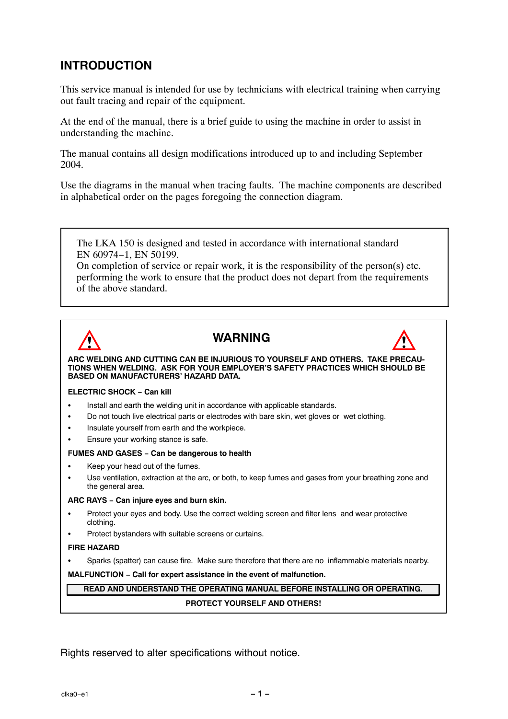### **INTRODUCTION**

This service manual is intended for use by technicians with electrical training when carrying out fault tracing and repair of the equipment.

At the end of the manual, there is a brief guide to using the machine in order to assist in understanding the machine.

The manual contains all design modifications introduced up to and including September 2004.

Use the diagrams in the manual when tracing faults. The machine components are described in alphabetical order on the pages foregoing the connection diagram.

The LKA 150 is designed and tested in accordance with international standard EN 60974−1, EN 50199.

On completion of service or repair work, it is the responsibility of the person(s) etc. performing the work to ensure that the product does not depart from the requirements of the above standard.



### **WARNING**



**ARC WELDING AND CUTTING CAN BE INJURIOUS TO YOURSELF AND OTHERS. TAKE PRECAU-TIONS WHEN WELDING. ASK FOR YOUR EMPLOYERíS SAFETY PRACTICES WHICH SHOULD BE BASED ON MANUFACTURERS' HAZARD DATA.** 

#### **ELECTRIC SHOCK − Can kill**

- $\overline{a}$ Install and earth the welding unit in accordance with applicable standards.
- $\bullet$ Do not touch live electrical parts or electrodes with bare skin, wet gloves or wet clothing.
- $\bullet$ Insulate yourself from earth and the workpiece.
- $\overline{a}$ Ensure your working stance is safe.

#### **FUMES AND GASES − Can be dangerous to health**

- $\overline{a}$ Keep your head out of the fumes.
- $\overline{a}$  Use ventilation, extraction at the arc, or both, to keep fumes and gases from your breathing zone and the general area.

#### **ARC RAYS − Can injure eyes and burn skin.**

- $\overline{a}$  Protect your eyes and body. Use the correct welding screen and filter lens and wear protective clothing.
- $\overline{a}$ Protect bystanders with suitable screens or curtains.

#### **FIRE HAZARD**

 $\overline{a}$ Sparks (spatter) can cause fire. Make sure therefore that there are no inflammable materials nearby.

**MALFUNCTION − Call for expert assistance in the event of malfunction.**

### **READ AND UNDERSTAND THE OPERATING MANUAL BEFORE INSTALLING OR OPERATING. PROTECT YOURSELF AND OTHERS!**

Rights reserved to alter specifications without notice.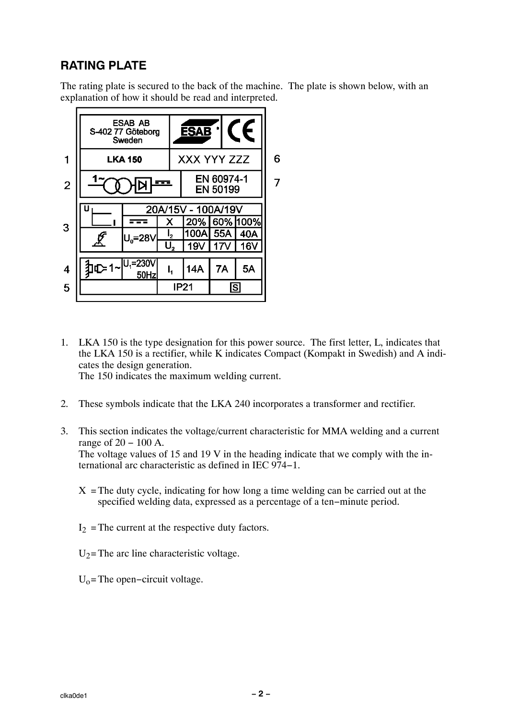### **RATING PLATE**

The rating plate is secured to the back of the machine. The plate is shown below, with an explanation of how it should be read and interpreted.



- 1. LKA 150 is the type designation for this power source. The first letter, L, indicates that the LKA 150 is a rectifier, while K indicates Compact (Kompakt in Swedish) and A indicates the design generation. The 150 indicates the maximum welding current.
- 2. These symbols indicate that the LKA 240 incorporates a transformer and rectifier.
- 3. This section indicates the voltage/current characteristic for MMA welding and a current range of 20 − 100 A. The voltage values of 15 and 19 V in the heading indicate that we comply with the international arc characteristic as defined in IEC 974−1.
	- $X =$ The duty cycle, indicating for how long a time welding can be carried out at the specified welding data, expressed as a percentage of a ten−minute period.
	- $I_2$  = The current at the respective duty factors.
	- $U_2$ = The arc line characteristic voltage.
	- $U_0$ = The open–circuit voltage.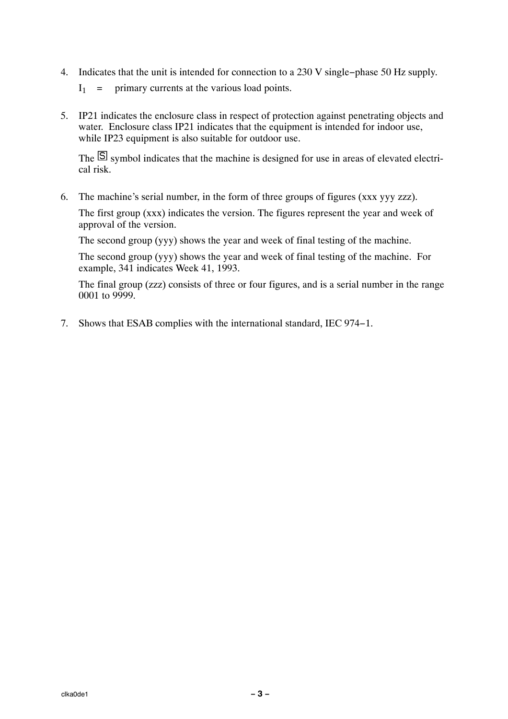- 4. Indicates that the unit is intended for connection to a 230 V single−phase 50 Hz supply.
	- $I_1$  = primary currents at the various load points.
- 5. IP21 indicates the enclosure class in respect of protection against penetrating objects and water. Enclosure class IP21 indicates that the equipment is intended for indoor use, while IP23 equipment is also suitable for outdoor use.

The  $\overline{S}$  symbol indicates that the machine is designed for use in areas of elevated electrical risk.

6. The machine's serial number, in the form of three groups of figures (xxx yyy zzz).

The first group (xxx) indicates the version. The figures represent the year and week of approval of the version.

The second group (yyy) shows the year and week of final testing of the machine.

The second group (yyy) shows the year and week of final testing of the machine. For example, 341 indicates Week 41, 1993.

The final group (zzz) consists of three or four figures, and is a serial number in the range 0001 to 9999.

7. Shows that ESAB complies with the international standard, IEC 974−1.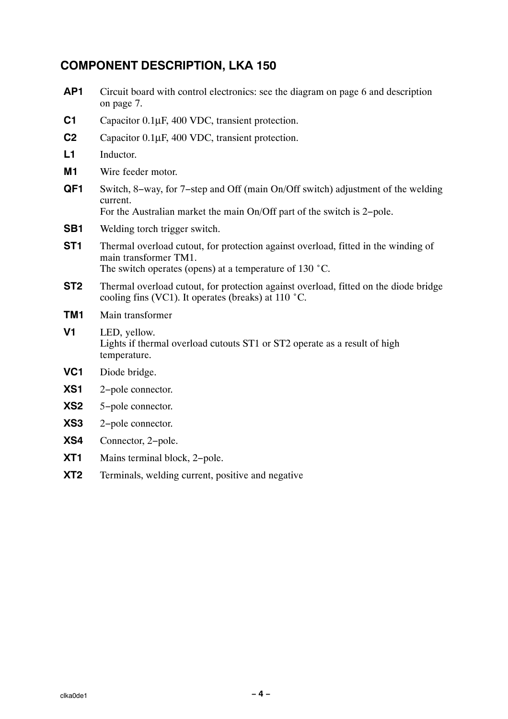### **COMPONENT DESCRIPTION, LKA 150**

- **AP1** Circuit board with control electronics: see the diagram on page [6](#page-7-0) and description on page [7.](#page-8-0)
- **C1** Capacitor 0.1µF, 400 VDC, transient protection.
- **C2** Capacitor 0.1µF, 400 VDC, transient protection.
- **L1** Inductor.
- **M1** Wire feeder motor.
- **QF1** Switch, 8−way, for 7−step and Off (main On/Off switch) adjustment of the welding current. For the Australian market the main On/Off part of the switch is 2−pole.
- **SB1** Welding torch trigger switch.
- **ST1** Thermal overload cutout, for protection against overload, fitted in the winding of main transformer TM1. The switch operates (opens) at a temperature of 130 °C.
- **ST2** Thermal overload cutout, for protection against overload, fitted on the diode bridge cooling fins (VC1). It operates (breaks) at 110 °C.
- **TM1** Main transformer
- **V1** LED, yellow. Lights if thermal overload cutouts ST1 or ST2 operate as a result of high temperature.
- **VC1** Diode bridge.
- **XS1** 2−pole connector.
- **XS2** 5−pole connector.
- **XS3** 2−pole connector.
- **XS4** Connector, 2−pole.
- **XT1** Mains terminal block, 2−pole.
- **XT2** Terminals, welding current, positive and negative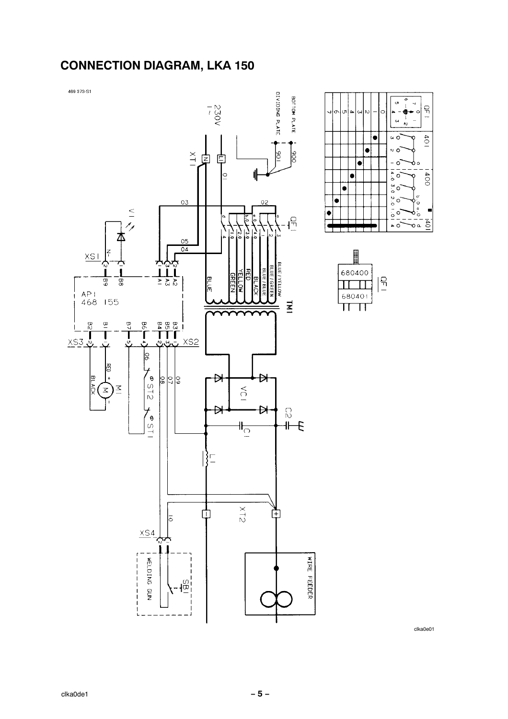### **CONNECTION DIAGRAM, LKA 150**

469 373-S1





| 680400 |  |
|--------|--|
|        |  |
| 680401 |  |
|        |  |

clka0e01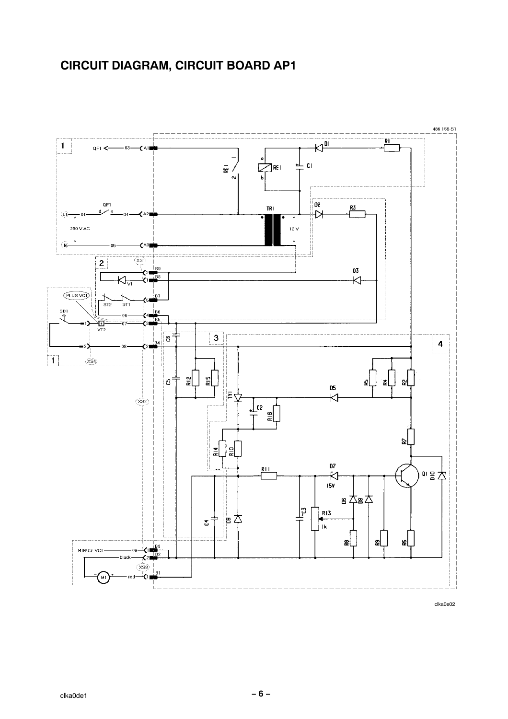## <span id="page-7-0"></span>**CIRCUIT DIAGRAM, CIRCUIT BOARD AP1**



clka0e02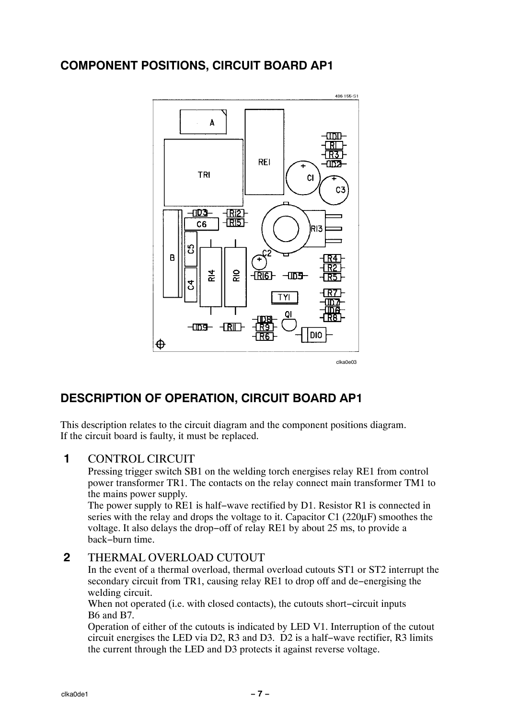### <span id="page-8-0"></span>**COMPONENT POSITIONS, CIRCUIT BOARD AP1**



### **DESCRIPTION OF OPERATION, CIRCUIT BOARD AP1**

This description relates to the circuit diagram and the component positions diagram. If the circuit board is faulty, it must be replaced.

### **1** CONTROL CIRCUIT

Pressing trigger switch SB1 on the welding torch energises relay RE1 from control power transformer TR1. The contacts on the relay connect main transformer TM1 to the mains power supply.

The power supply to RE1 is half−wave rectified by D1. Resistor R1 is connected in series with the relay and drops the voltage to it. Capacitor C1 (220µF) smoothes the voltage. It also delays the drop−off of relay RE1 by about 25 ms, to provide a back−burn time.

#### **2** THERMAL OVERLOAD CUTOUT

In the event of a thermal overload, thermal overload cutouts ST1 or ST2 interrupt the secondary circuit from TR1, causing relay RE1 to drop off and de−energising the welding circuit.

When not operated (i.e. with closed contacts), the cutouts short−circuit inputs B6 and B7.

Operation of either of the cutouts is indicated by LED V1. Interruption of the cutout circuit energises the LED via D2, R3 and D3. D2 is a half−wave rectifier, R3 limits the current through the LED and D3 protects it against reverse voltage.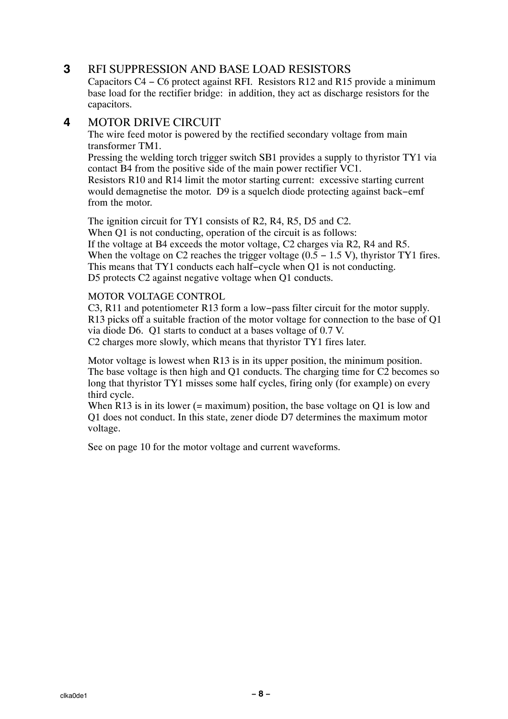### **3** RFI SUPPRESSION AND BASE LOAD RESISTORS

Capacitors C4 − C6 protect against RFI. Resistors R12 and R15 provide a minimum base load for the rectifier bridge: in addition, they act as discharge resistors for the capacitors.

#### **4** MOTOR DRIVE CIRCUIT

The wire feed motor is powered by the rectified secondary voltage from main transformer TM1.

Pressing the welding torch trigger switch SB1 provides a supply to thyristor TY1 via contact B4 from the positive side of the main power rectifier VC1.

Resistors R10 and R14 limit the motor starting current: excessive starting current would demagnetise the motor. D9 is a squelch diode protecting against back−emf from the motor.

The ignition circuit for TY1 consists of R2, R4, R5, D5 and C2.

When Q1 is not conducting, operation of the circuit is as follows: If the voltage at B4 exceeds the motor voltage, C2 charges via R2, R4 and R5. When the voltage on C2 reaches the trigger voltage  $(0.5 - 1.5 V)$ , thyristor TY1 fires. This means that TY1 conducts each half−cycle when Q1 is not conducting. D5 protects C2 against negative voltage when Q1 conducts.

#### MOTOR VOLTAGE CONTROL

C3, R11 and potentiometer R13 form a low−pass filter circuit for the motor supply. R13 picks off a suitable fraction of the motor voltage for connection to the base of Q1 via diode D6. Q1 starts to conduct at a bases voltage of 0.7 V. C2 charges more slowly, which means that thyristor TY1 fires later.

Motor voltage is lowest when R13 is in its upper position, the minimum position. The base voltage is then high and Q1 conducts. The charging time for C2 becomes so long that thyristor TY1 misses some half cycles, firing only (for example) on every third cycle.

When R13 is in its lower (= maximum) position, the base voltage on Q1 is low and Q1 does not conduct. In this state, zener diode D7 determines the maximum motor voltage.

See on page [10](#page-11-0) for the motor voltage and current waveforms.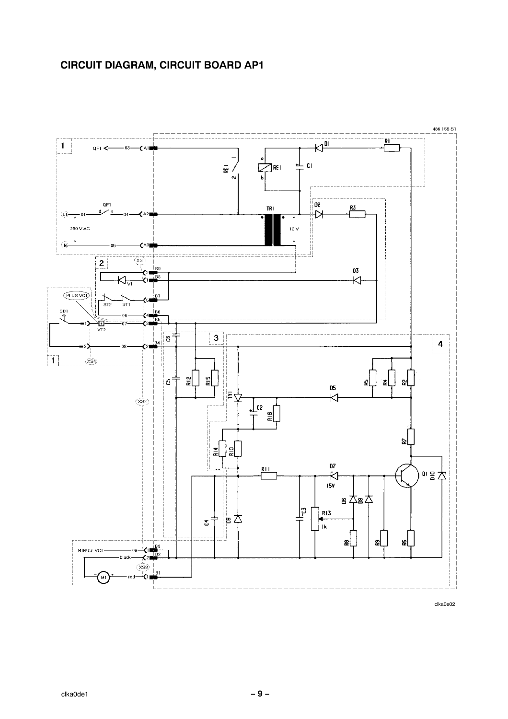

clka0e02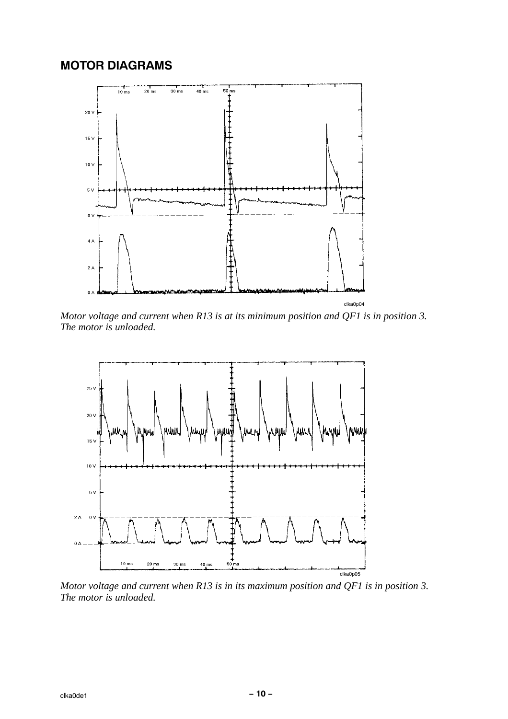### <span id="page-11-0"></span>**MOTOR DIAGRAMS**



*Motor voltage and current when R13 is at its minimum position and QF1 is in position 3. The motor is unloaded.*



*Motor voltage and current when R13 is in its maximum position and QF1 is in position 3. The motor is unloaded.*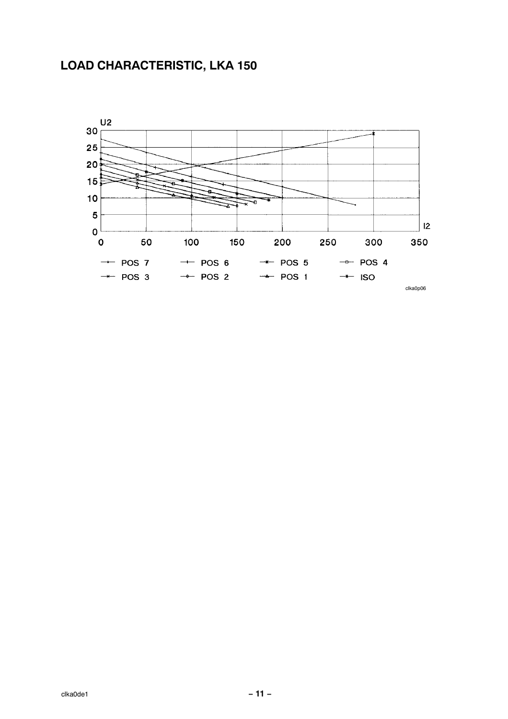### **LOAD CHARACTERISTIC, LKA 150**

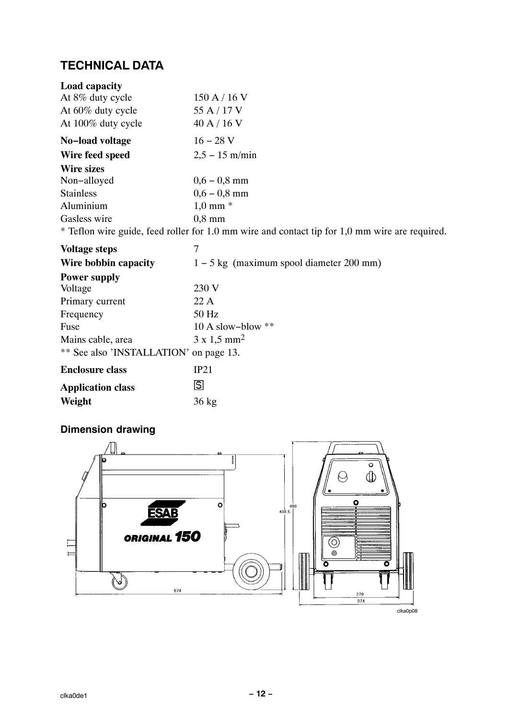### **TECHNICAL DATA**

| Load capacity                          |                                                                                                |
|----------------------------------------|------------------------------------------------------------------------------------------------|
| At 8% duty cycle                       | 150 A / 16 V                                                                                   |
| At 60% duty cycle                      | 55 A / 17 V                                                                                    |
| At 100% duty cycle                     | 40 A $/$ 16 V                                                                                  |
| No-load voltage                        | $16 - 28$ V                                                                                    |
| Wire feed speed                        | $2,5 - 15$ m/min                                                                               |
| <b>Wire sizes</b>                      |                                                                                                |
| Non-alloyed                            | $0,6 - 0,8$ mm                                                                                 |
| <b>Stainless</b>                       | $0,6 - 0,8$ mm                                                                                 |
| Aluminium                              | $1,0$ mm $*$                                                                                   |
| Gasless wire                           | $0.8$ mm                                                                                       |
|                                        | * Teflon wire guide, feed roller for 1.0 mm wire and contact tip for 1,0 mm wire are required. |
| <b>Voltage steps</b>                   | 7                                                                                              |
| Wire bobbin capacity                   | $1 - 5$ kg (maximum spool diameter 200 mm)                                                     |
| <b>Power supply</b>                    |                                                                                                |
| Voltage                                | 230 V                                                                                          |
| Primary current                        | 22A                                                                                            |
| Frequency                              | 50 Hz                                                                                          |
| Fuse                                   | 10 A slow-blow $**$                                                                            |
| Mains cable, area                      | $3 \times 1,5 \text{ mm}^2$                                                                    |
| ** See also 'INSTALLATION' on page 13. |                                                                                                |
| <b>Enclosure class</b>                 | IP21                                                                                           |
| <b>Application class</b>               | S                                                                                              |

**Weight** 36 kg

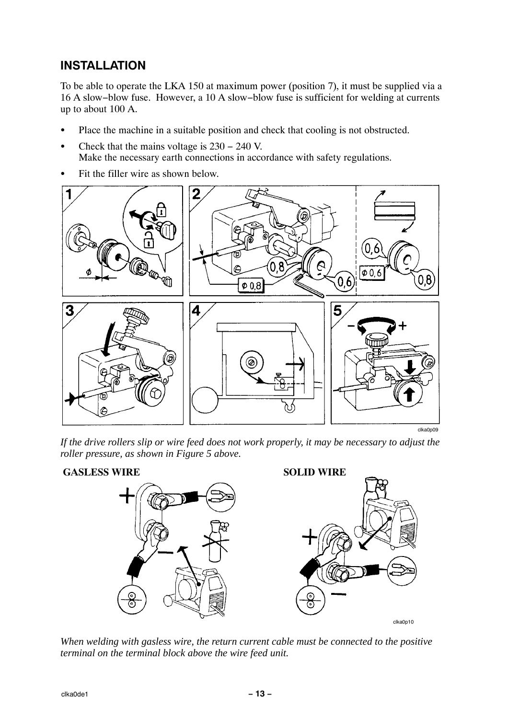### <span id="page-14-0"></span>**INSTALLATION**

To be able to operate the LKA 150 at maximum power (position 7), it must be supplied via a 16 A slow−blow fuse. However, a 10 A slow−blow fuse is sufficient for welding at currents up to about 100 A.

- $\overline{a}$ Place the machine in a suitable position and check that cooling is not obstructed.
- $\overline{a}$  Check that the mains voltage is 230 − 240 V. Make the necessary earth connections in accordance with safety regulations.
- $\overline{a}$ Fit the filler wire as shown below.



*If the drive rollers slip or wire feed does not work properly, it may be necessary to adjust the roller pressure, as shown in Figure 5 above.*



*When welding with gasless wire, the return current cable must be connected to the positive terminal on the terminal block above the wire feed unit.*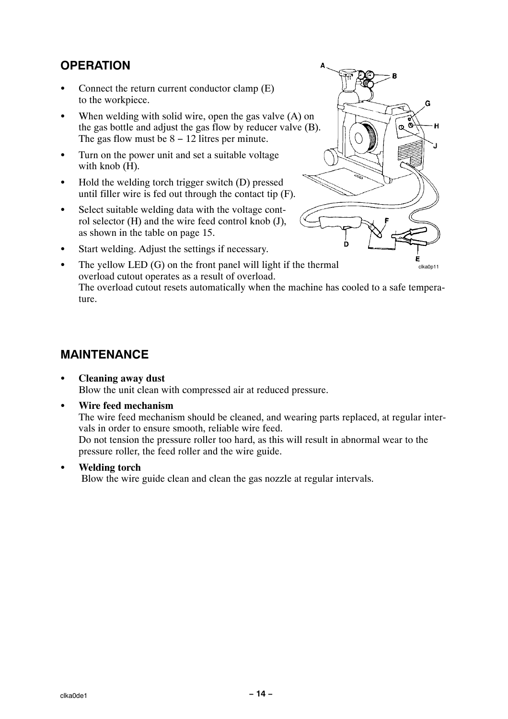### **OPERATION**

- $\overline{a}$  Connect the return current conductor clamp (E) to the workpiece.
- $\overline{a}$ When welding with solid wire, open the gas valve (A) on the gas bottle and adjust the gas flow by reducer valve (B). The gas flow must be  $8 - 12$  litres per minute.
- $\bullet$  Turn on the power unit and set a suitable voltage with knob (H).
- $\bullet$  Hold the welding torch trigger switch (D) pressed until filler wire is fed out through the contact tip (F).
- $\bullet$  Select suitable welding data with the voltage control selector (H) and the wire feed control knob (J), as shown in the table on page [15.](#page-16-0)



- $\bullet$ Start welding. Adjust the settings if necessary.
- clka0p11  $\bullet$  The yellow LED (G) on the front panel will light if the thermal overload cutout operates as a result of overload. The overload cutout resets automatically when the machine has cooled to a safe temperature.

### **MAINTENANCE**

#### $\bullet$  **Cleaning away dust** Blow the unit clean with compressed air at reduced pressure.

 $\overline{a}$ **Wire feed mechanism** 

> The wire feed mechanism should be cleaned, and wearing parts replaced, at regular intervals in order to ensure smooth, reliable wire feed.

Do not tension the pressure roller too hard, as this will result in abnormal wear to the pressure roller, the feed roller and the wire guide.

 $\overline{a}$ **Welding torch**

Blow the wire guide clean and clean the gas nozzle at regular intervals.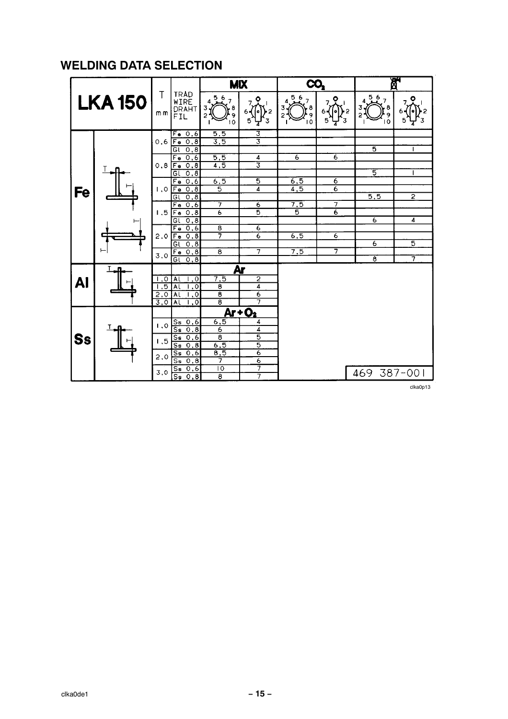### <span id="page-16-0"></span>**WELDING DATA SELECTION**

|           |               |           |                                         |                                      | <b>MIX</b>                | CO,                |                     |                                 | 鸥                 |
|-----------|---------------|-----------|-----------------------------------------|--------------------------------------|---------------------------|--------------------|---------------------|---------------------------------|-------------------|
|           | <b>LKA150</b> | Τ<br>m m  | <b>TRAD</b><br>WIRE<br>DRAHT<br>FIL     | 567<br>$\frac{8}{9}$<br>3<br>2<br>10 | ۰                         | 4.567<br>. 8<br>10 | ۰                   | 567<br>4<br>8<br>$\overline{0}$ | ۰                 |
|           |               |           | $Fe$ 0.6                                | 5,5                                  | उ                         |                    |                     |                                 |                   |
|           |               | 0.6       | $F_{\rm e}$<br>0, 8                     | $\overline{3,5}$                     | $\overline{\overline{3}}$ |                    |                     |                                 |                   |
|           |               |           | તિ<br>0,8                               |                                      |                           |                    |                     | $\overline{5}$                  | $\mathbf{I}$      |
|           |               |           | $F_{\rm e}$<br>0,6                      | 5,5                                  | $rac{4}{3}$               | $\overline{6}$     | 6                   |                                 |                   |
|           |               | 0.8       | 0, 8<br>$F_{\theta}$                    | 4,5                                  |                           |                    |                     |                                 |                   |
|           |               |           | 0, 8<br>Gl                              |                                      |                           |                    |                     | 5                               |                   |
|           |               |           | $\overline{\mathsf{F}}$ e<br>0,6        | 6, 5                                 | $\overline{\mathbf{5}}$   | $\frac{6,5}{4,5}$  | 6<br>$\overline{6}$ |                                 |                   |
| Fe        |               | 1,0       | 0, 8<br>Fe                              | 5                                    | 4                         |                    |                     | $\overline{5,5}$                | $\overline{2}$    |
|           |               |           | Gl<br>0.8<br>0.6<br>Fe                  | 7                                    | $\overline{6}$            | $\overline{7,5}$   | $\overline{\tau}$   |                                 |                   |
|           |               | 1.5       | 0.8<br>$F_{\rm e}$                      | 6                                    | 5                         | 5                  | $\overline{6}$      |                                 |                   |
|           |               |           | 0, 8<br>G(                              |                                      |                           |                    |                     | $\overline{6}$                  | $\overline{4}$    |
|           |               |           | $\overline{\mathsf{F} \bullet}$<br>0, 6 | $\overline{\mathbf{8}}$              | $\overline{6}$            |                    |                     |                                 |                   |
|           |               | 2.0       | 0,8<br>Fe                               | 7                                    | $\overline{6}$            | 6, 5               | 6                   |                                 |                   |
|           |               |           | 0, 8<br>Gl                              |                                      |                           |                    |                     | 6                               | 5                 |
|           |               | 3,0       | 0, 8<br>Fe                              | $\overline{\mathbf{8}}$              | $\overline{\tau}$         | 7,5                | 7                   |                                 |                   |
|           |               |           | 0,8<br>Gι                               |                                      |                           |                    |                     | ह                               | $\overline{\tau}$ |
|           |               |           |                                         |                                      | Ar                        |                    |                     |                                 |                   |
|           |               | $\cdot$ O | $\cdot^{\circ}$<br>AL                   | $\overline{7,5}$                     | $\overline{2}$            |                    |                     |                                 |                   |
| <b>Al</b> |               | . इ       | $\overline{\cdot}$<br>$\overline{A}$    | $\overline{\mathbf{g}}$              | $\overline{4}$            |                    |                     |                                 |                   |
|           |               | 2,0       | $\overline{A}$<br>$\cdot$               | $\overline{\mathbf{g}}$              | $\overline{6}$            |                    |                     |                                 |                   |
|           |               | 3,0       | $\overline{A}$<br>$\cdot$ 0             | $\overline{\mathbf{g}}$              | 7                         |                    |                     |                                 |                   |
|           |               |           |                                         |                                      | $Ar + O2$                 |                    |                     |                                 |                   |
|           |               |           | $S_{\mathbf{S}}$<br>0,6                 | 6,5                                  | 4                         |                    |                     |                                 |                   |
|           |               | 1.0       | $\overline{s}$<br>0.8                   | 6                                    | 4                         |                    |                     |                                 |                   |
| Ss        |               | 1.5       | 0,6<br>Ss                               | $\overline{\boldsymbol{s}}$          | $\overline{5}$            |                    |                     |                                 |                   |
|           |               |           | $\overline{\mathsf{S}}$ s<br>0,8        | 6, 5                                 | $\overline{5}$            |                    |                     |                                 |                   |
|           |               | 2,0       | $\overline{\mathsf{S}}$ s<br>0.6        | 8,5                                  | $\overline{6}$            |                    |                     |                                 |                   |
|           |               |           | $\overline{s}$<br>0, 8                  | 7                                    | $\overline{6}$            |                    |                     |                                 |                   |
|           |               | 3,0       | $\overline{\mathsf{S}}$ s<br>0,6        | 10                                   | 7                         |                    |                     | 469                             | 387-001           |
|           |               |           | $\overline{\mathsf{S}}$<br>0,8          | $\overline{\mathbf{8}}$              | 7                         |                    |                     |                                 |                   |

clka0p13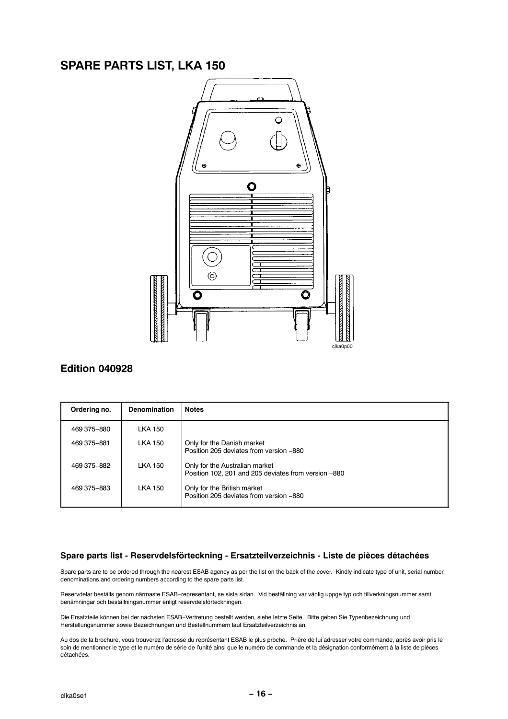### **SPARE PARTS LIST, LKA 150**



#### **Edition 040928**

| Ordering no.  | <b>Denomination</b> | <b>Notes</b>                                                                           |
|---------------|---------------------|----------------------------------------------------------------------------------------|
| 469 375 - 880 | <b>LKA 150</b>      |                                                                                        |
| 469 375 - 881 | <b>LKA 150</b>      | Only for the Danish market<br>Position 205 deviates from version -880                  |
| 469 375-882   | <b>LKA 150</b>      | Only for the Australian market<br>Position 102, 201 and 205 deviates from version -880 |
| 469 375 - 883 | <b>LKA 150</b>      | Only for the British market<br>Position 205 deviates from version -880                 |

#### Spare parts list - Reservdelsförteckning - Ersatzteilverzeichnis - Liste de pièces détachées

Spare parts are to be ordered through the nearest ESAB agency as per the list on the back of the cover. Kindly indicate type of unit, serial number, denominations and ordering numbers according to the spare parts list.

Reservdelar beställs genom närmaste ESAB-representant, se sista sidan. Vid beställning var vänlig uppge typ och tillverkningsnummer samt benämningar och beställningsnummer enligt reservdelsförteckningen.

Die Ersatzteile können bei der nächsten ESAB-Vertretung bestellt werden, siehe letzte Seite. Bitte geben Sie Typenbezeichnung und Herstellungsnummer sowie Bezeichnungen und Bestellnummern laut Ersatzteilverzeichnis an.

Au dos de la brochure, vous trouverez l'adresse du représentant ESAB le plus proche. Prière de lui adresser votre commande, après avoir pris le soin de mentionner le type et le numéro de série de l'unité ainsi que le numéro de commande et la désignation conformément à la liste de pièces détachées.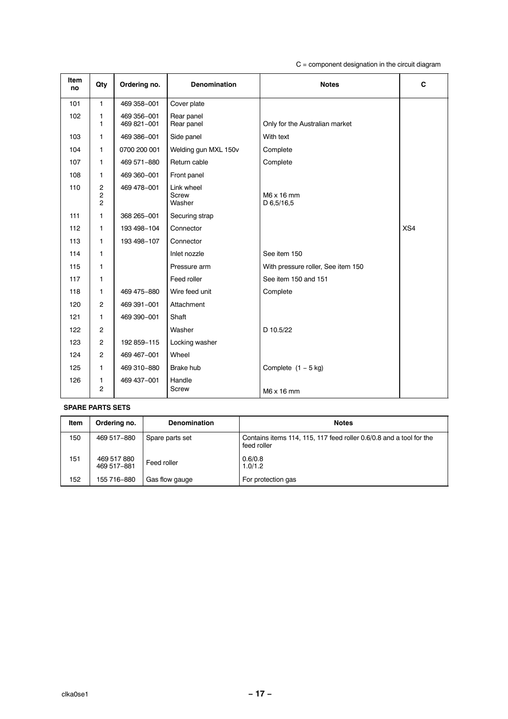$C =$  component designation in the circuit diagram

| <b>Item</b><br>no | Qty                                   | Ordering no.               | <b>Denomination</b>           | <b>Notes</b>                       | C   |
|-------------------|---------------------------------------|----------------------------|-------------------------------|------------------------------------|-----|
| 101               | 1                                     | 469 358-001                | Cover plate                   |                                    |     |
| 102               | 1<br>$\mathbf{1}$                     | 469 356-001<br>469 821-001 | Rear panel<br>Rear panel      | Only for the Australian market     |     |
| 103               | 1.                                    | 469 386-001                | Side panel                    | With text                          |     |
| 104               | 1                                     | 0700 200 001               | Welding gun MXL 150v          | Complete                           |     |
| 107               | 1                                     | 469 571 - 880              | Return cable                  | Complete                           |     |
| 108               | 1                                     | 469 360 - 001              | Front panel                   |                                    |     |
| 110               | 2<br>$\overline{c}$<br>$\overline{c}$ | 469 478-001                | Link wheel<br>Screw<br>Washer | $M6 \times 16$ mm<br>D 6,5/16,5    |     |
| 111               | $\mathbf{1}$                          | 368 265-001                | Securing strap                |                                    |     |
| 112               | 1.                                    | 193 498-104                | Connector                     |                                    | XS4 |
| 113               | 1                                     | 193 498-107                | Connector                     |                                    |     |
| 114               | 1                                     |                            | Inlet nozzle                  | See item 150                       |     |
| 115               | 1                                     |                            | Pressure arm                  | With pressure roller, See item 150 |     |
| 117               | 1                                     |                            | Feed roller                   | See item 150 and 151               |     |
| 118               | 1                                     | 469 475-880                | Wire feed unit                | Complete                           |     |
| 120               | $\overline{c}$                        | 469 391-001                | Attachment                    |                                    |     |
| 121               | 1                                     | 469 390 - 001              | Shaft                         |                                    |     |
| 122               | $\overline{c}$                        |                            | Washer                        | D 10.5/22                          |     |
| 123               | $\overline{2}$                        | 192 859-115                | Locking washer                |                                    |     |
| 124               | $\overline{2}$                        | 469 467-001                | Wheel                         |                                    |     |
| 125               | 1.                                    | 469 310-880                | <b>Brake hub</b>              | Complete $(1 - 5$ kg)              |     |
| 126               | 1<br>$\overline{c}$                   | 469 437-001                | Handle<br>Screw               | $M6 \times 16$ mm                  |     |

#### **SPARE PARTS SETS**

| Item | Ordering no.               | <b>Denomination</b> | <b>Notes</b>                                                                       |
|------|----------------------------|---------------------|------------------------------------------------------------------------------------|
| 150  | 469 517-880                | Spare parts set     | Contains items 114, 115, 117 feed roller 0.6/0.8 and a tool for the<br>feed roller |
| 151  | 469 517 880<br>469 517-881 | Feed roller         | 0.6/0.8<br>1.0/1.2                                                                 |
| 152  | 155 716-880                | Gas flow gauge      | For protection gas                                                                 |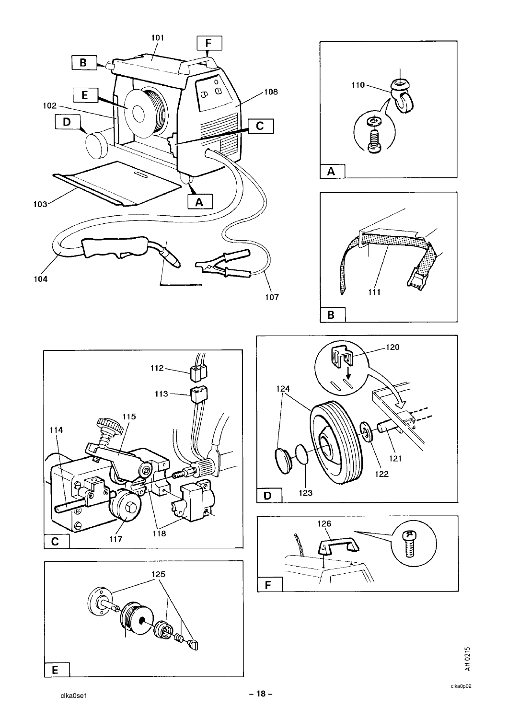











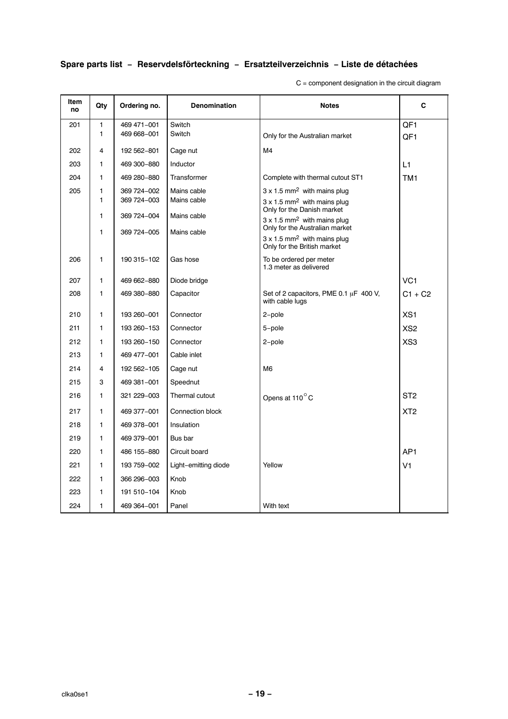### **Spare parts list − Reservdelsfˆrteckning − Ersatzteilverzeichnis − Liste de dÈtachÈes**

C = component designation in the circuit diagram

| Item<br>no | Qty | Ordering no.  | <b>Denomination</b>  | <b>Notes</b>                                                                  | C               |
|------------|-----|---------------|----------------------|-------------------------------------------------------------------------------|-----------------|
| 201        | 1   | 469 471-001   | Switch               |                                                                               | QF1             |
|            | 1   | 469 668-001   | Switch               | Only for the Australian market                                                | QF <sub>1</sub> |
| 202        | 4   | 192 562-801   | Cage nut             | M4                                                                            |                 |
| 203        | 1   | 469 300-880   | Inductor             |                                                                               | $\overline{11}$ |
| 204        | 1   | 469 280-880   | Transformer          | Complete with thermal cutout ST1                                              | TM <sub>1</sub> |
| 205        | 1   | 369 724-002   | Mains cable          | $3 \times 1.5$ mm <sup>2</sup> with mains plug                                |                 |
|            | 1   | 369 724-003   | Mains cable          | $3 \times 1.5$ mm <sup>2</sup> with mains plug<br>Only for the Danish market  |                 |
|            | 1   | 369 724-004   | Mains cable          | $3 \times 1.5$ mm <sup>2</sup> with mains plug                                |                 |
|            | 1   | 369 724-005   | Mains cable          | Only for the Australian market                                                |                 |
|            |     |               |                      | $3 \times 1.5$ mm <sup>2</sup> with mains plug<br>Only for the British market |                 |
| 206        | 1   | 190 315-102   | Gas hose             | To be ordered per meter<br>1.3 meter as delivered                             |                 |
| 207        | 1   | 469 662-880   | Diode bridge         |                                                                               | VC <sub>1</sub> |
| 208        | 1   | 469 380-880   | Capacitor            | Set of 2 capacitors, PME 0.1 $\mu$ F 400 V,<br>with cable lugs                | $C1 + C2$       |
| 210        | 1   | 193 260-001   | Connector            | 2-pole                                                                        | XS <sub>1</sub> |
| 211        | 1   | 193 260-153   | Connector            | 5-pole                                                                        | XS <sub>2</sub> |
| 212        | 1   | 193 260-150   | Connector            | 2-pole                                                                        | XS <sub>3</sub> |
| 213        | 1   | 469 477-001   | Cable inlet          |                                                                               |                 |
| 214        | 4   | 192 562-105   | Cage nut             | M <sub>6</sub>                                                                |                 |
| 215        | 3   | 469 381-001   | Speednut             |                                                                               |                 |
| 216        | 1   | 321 229-003   | Thermal cutout       | Opens at 110°C                                                                | ST <sub>2</sub> |
| 217        | 1   | 469 377-001   | Connection block     |                                                                               | XT <sub>2</sub> |
| 218        | 1   | 469 378-001   | Insulation           |                                                                               |                 |
| 219        | 1   | 469 379 - 001 | Bus bar              |                                                                               |                 |
| 220        | 1   | 486 155-880   | Circuit board        |                                                                               | AP <sub>1</sub> |
| 221        | 1   | 193 759-002   | Light-emitting diode | Yellow                                                                        | V <sub>1</sub>  |
| 222        | 1   | 366 296-003   | Knob                 |                                                                               |                 |
| 223        | 1   | 191 510-104   | Knob                 |                                                                               |                 |
| 224        | 1   | 469 364-001   | Panel                | With text                                                                     |                 |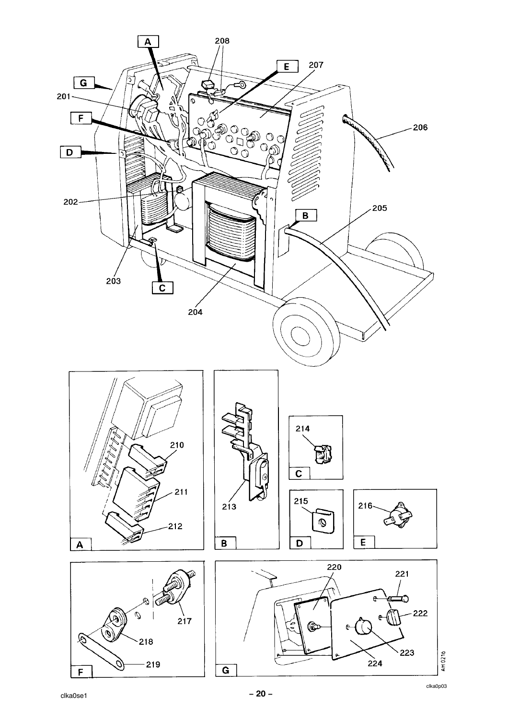